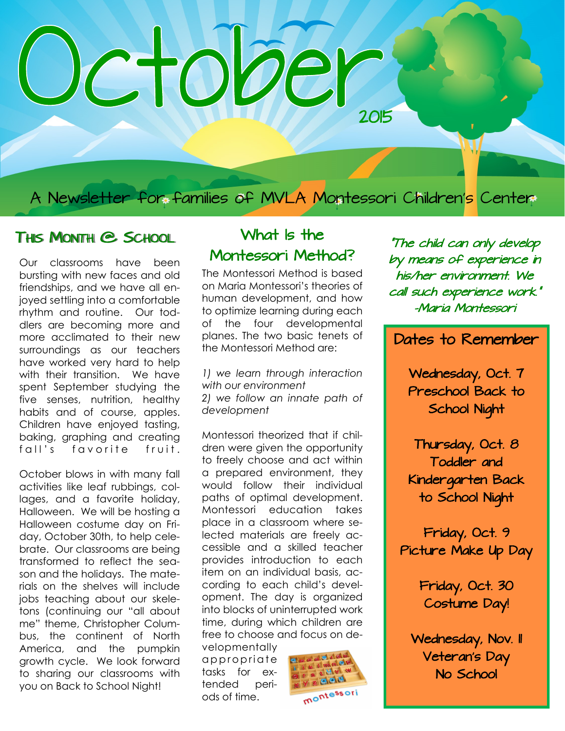# Jetober 2015

A Newsletter for families of MVLA Montessori Children's Center

#### THIS MONTH @ SCHOOL What Is the

Our classrooms have been bursting with new faces and old friendships, and we have all enjoyed settling into a comfortable rhythm and routine. Our toddlers are becoming more and more acclimated to their new surroundings as our teachers have worked very hard to help with their transition. We have spent September studying the five senses, nutrition, healthy habits and of course, apples. Children have enjoyed tasting, baking, graphing and creating fall's favorite fruit.

October blows in with many fall activities like leaf rubbings, collages, and a favorite holiday, Halloween. We will be hosting a Halloween costume day on Friday, October 30th, to help celebrate. Our classrooms are being transformed to reflect the season and the holidays. The materials on the shelves will include jobs teaching about our skeletons (continuing our "all about me" theme, Christopher Columbus, the continent of North America, and the pumpkin growth cycle. We look forward to sharing our classrooms with you on Back to School Night!

## Montessori Method?

The Montessori Method is based on Maria Montessori's theories of human development, and how to optimize learning during each of the four developmental planes. The two basic tenets of the Montessori Method are:

*1) we learn through interaction with our environment 2) we follow an innate path of development*

Montessori theorized that if children were given the opportunity to freely choose and act within a prepared environment, they would follow their individual paths of optimal development. Montessori education takes place in a classroom where selected materials are freely accessible and a skilled teacher provides introduction to each item on an individual basis, according to each child's development. The day is organized into blocks of uninterrupted work time, during which children are free to choose and focus on de-

velopmentally appropriate tasks for extended periods of time.



"The child can only develop by means of experience in his/her environment. We call such experience work." -Maria Montessori

#### Dates to Remember

Wednesday, Oct. 7 Preschool Back to School Night

Thursday, Oct. 8 Toddler and Kindergarten Back to School Night

Friday, Oct. 9 Picture Make Up Day

> Friday, Oct. 30 Costume Day!

Wednesday, Nov. II Veteran's Day No School